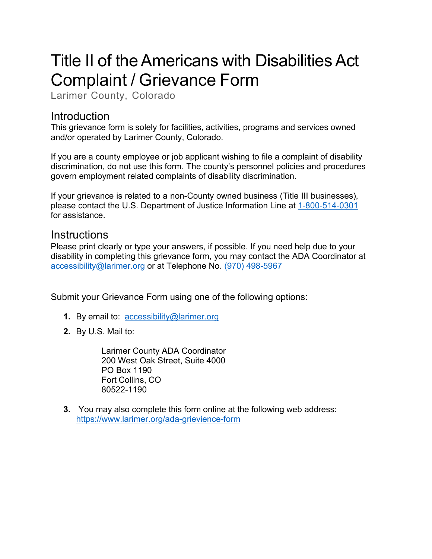# Title II of the Americans with Disabilities Act Complaint / Grievance Form

Larimer County, Colorado

### Introduction

This grievance form is solely for facilities, activities, programs and services owned and/or operated by Larimer County, Colorado.

If you are a county employee or job applicant wishing to file a complaint of disability discrimination, do not use this form. The county's personnel policies and procedures govern employment related complaints of disability discrimination.

If your grievance is related to a non-County owned business (Title III businesses), please contact the U.S. Department of Justice Information Line at 1-800-514-0301 for assistance.

#### **Instructions**

Please print clearly or type your answers, if possible. If you need help due to your disability in completing this grievance form, you may contact the ADA Coordinator at [accessibility@larimer.org](mailto:accessibility@larimer.org) or at Telephone No. (970) 498-5967

Submit your Grievance Form using one of the following options:

- **1.** By email to: [accessibility@larimer.org](mailto:accessibility@larimer.org)
- **2.** By U.S. Mail to:

Larimer County ADA Coordinator 200 West Oak Street, Suite 4000 PO Box 1190 Fort Collins, CO 80522-1190

**3.** You may also complete this form online at the following web address: <https://www.larimer.org/ada-grievience-form>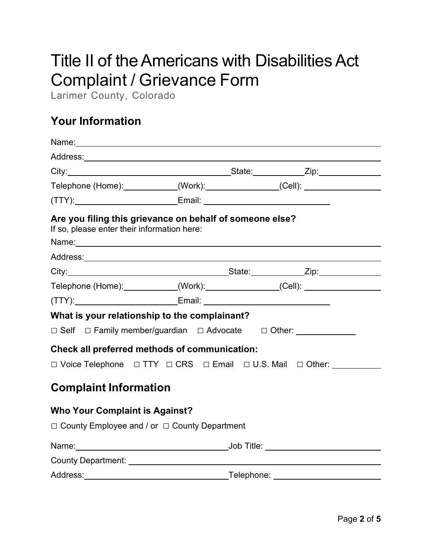# Title II of the Americans with Disabilities Act Complaint / Grievance Form

Larimer County, Colorado

# **Your Information**

| Telephone (Home):____________(Work):______________(Cell): ______________________                                                                                                                                                                                                                                                         |  |  |  |  |  |  |  |
|------------------------------------------------------------------------------------------------------------------------------------------------------------------------------------------------------------------------------------------------------------------------------------------------------------------------------------------|--|--|--|--|--|--|--|
|                                                                                                                                                                                                                                                                                                                                          |  |  |  |  |  |  |  |
| Are you filing this grievance on behalf of someone else?<br>If so, please enter their information here:<br>Name: Name: Name: Name: Name: Name: Name: Name: Name: Name: Name: Name: Name: Name: Name: Name: Name: Name: Name: Name: Name: Name: Name: Name: Name: Name: Name: Name: Name: Name: Name: Name: Name: Name: Name: Name: Name: |  |  |  |  |  |  |  |
|                                                                                                                                                                                                                                                                                                                                          |  |  |  |  |  |  |  |
|                                                                                                                                                                                                                                                                                                                                          |  |  |  |  |  |  |  |
| Telephone (Home):___________(Work):_____________(Cell): ________________________                                                                                                                                                                                                                                                         |  |  |  |  |  |  |  |
| (TTY):_________________________________Email: __________________________________                                                                                                                                                                                                                                                         |  |  |  |  |  |  |  |
| What is your relationship to the complainant?                                                                                                                                                                                                                                                                                            |  |  |  |  |  |  |  |
| $\Box$ Self $\Box$ Family member/guardian $\Box$ Advocate $\Box$ Other:                                                                                                                                                                                                                                                                  |  |  |  |  |  |  |  |
| Check all preferred methods of communication:                                                                                                                                                                                                                                                                                            |  |  |  |  |  |  |  |
| □ Voice Telephone □ TTY □ CRS □ Email □ U.S. Mail □ Other: _____________________                                                                                                                                                                                                                                                         |  |  |  |  |  |  |  |
| <b>Complaint Information</b>                                                                                                                                                                                                                                                                                                             |  |  |  |  |  |  |  |
| <b>Who Your Complaint is Against?</b>                                                                                                                                                                                                                                                                                                    |  |  |  |  |  |  |  |
| $\Box$ County Employee and / or $\Box$ County Department                                                                                                                                                                                                                                                                                 |  |  |  |  |  |  |  |
|                                                                                                                                                                                                                                                                                                                                          |  |  |  |  |  |  |  |
|                                                                                                                                                                                                                                                                                                                                          |  |  |  |  |  |  |  |
|                                                                                                                                                                                                                                                                                                                                          |  |  |  |  |  |  |  |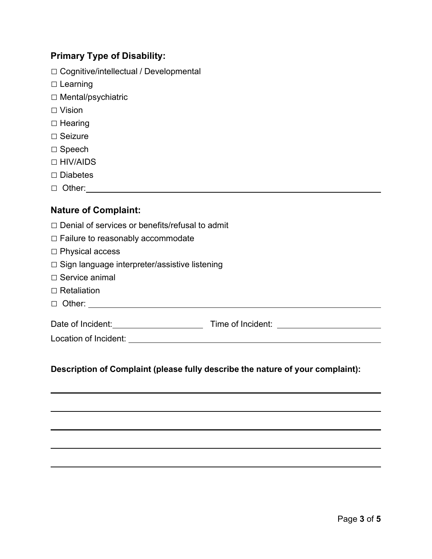#### **Primary Type of Disability:**

- □ Cognitive/intellectual / Developmental
- □ Learning
- □ Mental/psychiatric
- □ Vision
- □ Hearing
- □ Seizure
- □ Speech
- □ HIV/AIDS
- □ Diabetes
- □ Other:

#### **Nature of Complaint:**

- $\Box$  Denial of services or benefits/refusal to admit
- □ Failure to reasonably accommodate
- □ Physical access
- □ Sign language interpreter/assistive listening
- $\Box$  Service animal
- □ Retaliation
- □ Other:

Date of Incident: University Contract Contract Contract Contract Contract Contract Contract Contract Contract Contract Contract Contract Contract Contract Contract Contract Contract Contract Contract Contract Contract Cont

#### **Description of Complaint (please fully describe the nature of your complaint):**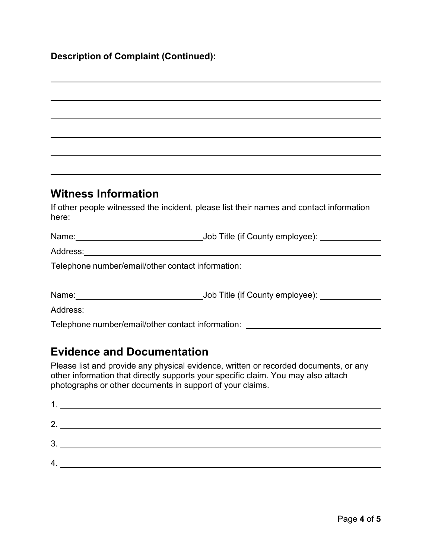#### **Description of Complaint (Continued):**

# **Witness Information** If other people witnessed the incident, please list their names and contact information here: Name:  $\bigcup$  Ob Title (if County employee): Address: Telephone number/email/other contact information: Name:  $\qquad \qquad$  Job Title (if County employee):  $\qquad \qquad$ Address: Telephone number/email/other contact information:

## **Evidence and Documentation**

Please list and provide any physical evidence, written or recorded documents, or any other information that directly supports your specific claim. You may also attach photographs or other documents in support of your claims.

| 2.             |  |
|----------------|--|
| 3 <sub>1</sub> |  |
| 4              |  |